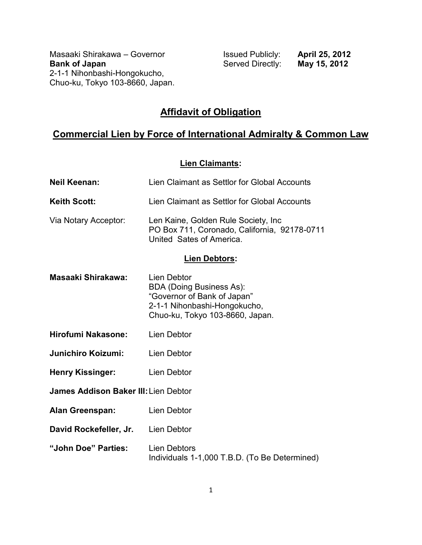Masaaki Shirakawa – Governor **Issued Publicly: April 25, 2012**<br>**Bank of Japan Issued Directly: May 15, 2012** 2-1-1 Nihonbashi-Hongokucho, Chuo-ku, Tokyo 103-8660, Japan.

**Served Directly:** 

# **Affidavit of Obligation**

# **Commercial Lien by Force of International Admiralty & Common Law**

#### **Lien Claimants:**

| <b>Neil Keenan:</b>                         | Lien Claimant as Settlor for Global Accounts                                                                                                     |
|---------------------------------------------|--------------------------------------------------------------------------------------------------------------------------------------------------|
| <b>Keith Scott:</b>                         | Lien Claimant as Settlor for Global Accounts                                                                                                     |
| Via Notary Acceptor:                        | Len Kaine, Golden Rule Society, Inc.<br>PO Box 711, Coronado, California, 92178-0711<br>United Sates of America.                                 |
| <b>Lien Debtors:</b>                        |                                                                                                                                                  |
| Masaaki Shirakawa:                          | Lien Debtor<br><b>BDA (Doing Business As):</b><br>"Governor of Bank of Japan"<br>2-1-1 Nihonbashi-Hongokucho,<br>Chuo-ku, Tokyo 103-8660, Japan. |
| <b>Hirofumi Nakasone:</b>                   | Lien Debtor                                                                                                                                      |
| <b>Junichiro Koizumi:</b>                   | <b>Lien Debtor</b>                                                                                                                               |
| <b>Henry Kissinger:</b>                     | Lien Debtor                                                                                                                                      |
| <b>James Addison Baker III: Lien Debtor</b> |                                                                                                                                                  |
| <b>Alan Greenspan:</b>                      | Lien Debtor                                                                                                                                      |
| David Rockefeller, Jr.                      | <b>Lien Debtor</b>                                                                                                                               |
| "John Doe" Parties:                         | <b>Lien Debtors</b><br>Individuals 1-1,000 T.B.D. (To Be Determined)                                                                             |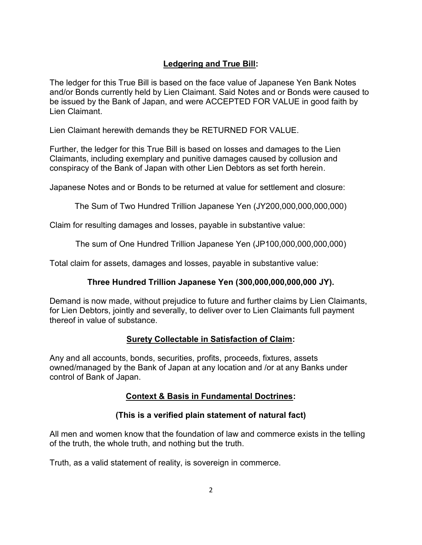### **Ledgering and True Bill:**

The ledger for this True Bill is based on the face value of Japanese Yen Bank Notes and/or Bonds currently held by Lien Claimant. Said Notes and or Bonds were caused to be issued by the Bank of Japan, and were ACCEPTED FOR VALUE in good faith by Lien Claimant.

Lien Claimant herewith demands they be RETURNED FOR VALUE.

Further, the ledger for this True Bill is based on losses and damages to the Lien Claimants, including exemplary and punitive damages caused by collusion and conspiracy of the Bank of Japan with other Lien Debtors as set forth herein.

Japanese Notes and or Bonds to be returned at value for settlement and closure:

The Sum of Two Hundred Trillion Japanese Yen (JY200,000,000,000,000)

Claim for resulting damages and losses, payable in substantive value:

The sum of One Hundred Trillion Japanese Yen (JP100,000,000,000,000)

Total claim for assets, damages and losses, payable in substantive value:

### **Three Hundred Trillion Japanese Yen (300,000,000,000,000 JY).**

Demand is now made, without prejudice to future and further claims by Lien Claimants, for Lien Debtors, jointly and severally, to deliver over to Lien Claimants full payment thereof in value of substance.

### **Surety Collectable in Satisfaction of Claim:**

Any and all accounts, bonds, securities, profits, proceeds, fixtures, assets owned/managed by the Bank of Japan at any location and /or at any Banks under control of Bank of Japan.

### **Context & Basis in Fundamental Doctrines:**

### **(This is a verified plain statement of natural fact)**

All men and women know that the foundation of law and commerce exists in the telling of the truth, the whole truth, and nothing but the truth.

Truth, as a valid statement of reality, is sovereign in commerce.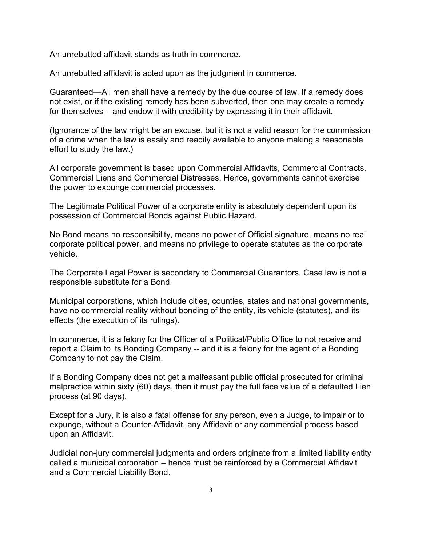An unrebutted affidavit stands as truth in commerce.

An unrebutted affidavit is acted upon as the judgment in commerce.

Guaranteed—All men shall have a remedy by the due course of law. If a remedy does not exist, or if the existing remedy has been subverted, then one may create a remedy for themselves – and endow it with credibility by expressing it in their affidavit.

(Ignorance of the law might be an excuse, but it is not a valid reason for the commission of a crime when the law is easily and readily available to anyone making a reasonable effort to study the law.)

All corporate government is based upon Commercial Affidavits, Commercial Contracts, Commercial Liens and Commercial Distresses. Hence, governments cannot exercise the power to expunge commercial processes.

The Legitimate Political Power of a corporate entity is absolutely dependent upon its possession of Commercial Bonds against Public Hazard.

No Bond means no responsibility, means no power of Official signature, means no real corporate political power, and means no privilege to operate statutes as the corporate vehicle.

The Corporate Legal Power is secondary to Commercial Guarantors. Case law is not a responsible substitute for a Bond.

Municipal corporations, which include cities, counties, states and national governments, have no commercial reality without bonding of the entity, its vehicle (statutes), and its effects (the execution of its rulings).

In commerce, it is a felony for the Officer of a Political/Public Office to not receive and report a Claim to its Bonding Company -- and it is a felony for the agent of a Bonding Company to not pay the Claim.

If a Bonding Company does not get a malfeasant public official prosecuted for criminal malpractice within sixty (60) days, then it must pay the full face value of a defaulted Lien process (at 90 days).

Except for a Jury, it is also a fatal offense for any person, even a Judge, to impair or to expunge, without a Counter-Affidavit, any Affidavit or any commercial process based upon an Affidavit.

Judicial non-jury commercial judgments and orders originate from a limited liability entity called a municipal corporation – hence must be reinforced by a Commercial Affidavit and a Commercial Liability Bond.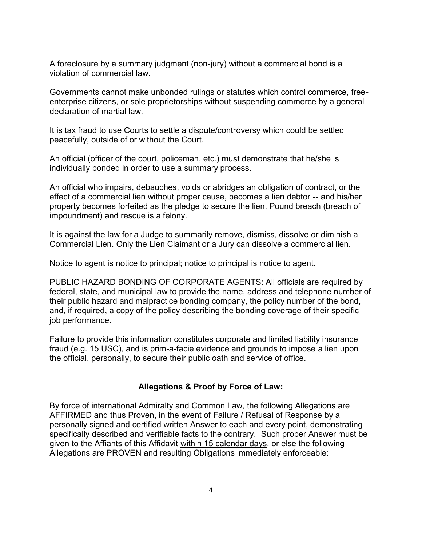A foreclosure by a summary judgment (non-jury) without a commercial bond is a violation of commercial law.

Governments cannot make unbonded rulings or statutes which control commerce, freeenterprise citizens, or sole proprietorships without suspending commerce by a general declaration of martial law.

It is tax fraud to use Courts to settle a dispute/controversy which could be settled peacefully, outside of or without the Court.

An official (officer of the court, policeman, etc.) must demonstrate that he/she is individually bonded in order to use a summary process.

An official who impairs, debauches, voids or abridges an obligation of contract, or the effect of a commercial lien without proper cause, becomes a lien debtor -- and his/her property becomes forfeited as the pledge to secure the lien. Pound breach (breach of impoundment) and rescue is a felony.

It is against the law for a Judge to summarily remove, dismiss, dissolve or diminish a Commercial Lien. Only the Lien Claimant or a Jury can dissolve a commercial lien.

Notice to agent is notice to principal; notice to principal is notice to agent.

PUBLIC HAZARD BONDING OF CORPORATE AGENTS: All officials are required by federal, state, and municipal law to provide the name, address and telephone number of their public hazard and malpractice bonding company, the policy number of the bond, and, if required, a copy of the policy describing the bonding coverage of their specific job performance.

Failure to provide this information constitutes corporate and limited liability insurance fraud (e.g. 15 USC), and is prim-a-facie evidence and grounds to impose a lien upon the official, personally, to secure their public oath and service of office.

#### **Allegations & Proof by Force of Law:**

By force of international Admiralty and Common Law, the following Allegations are AFFIRMED and thus Proven, in the event of Failure / Refusal of Response by a personally signed and certified written Answer to each and every point, demonstrating specifically described and verifiable facts to the contrary. Such proper Answer must be given to the Affiants of this Affidavit within 15 calendar days, or else the following Allegations are PROVEN and resulting Obligations immediately enforceable: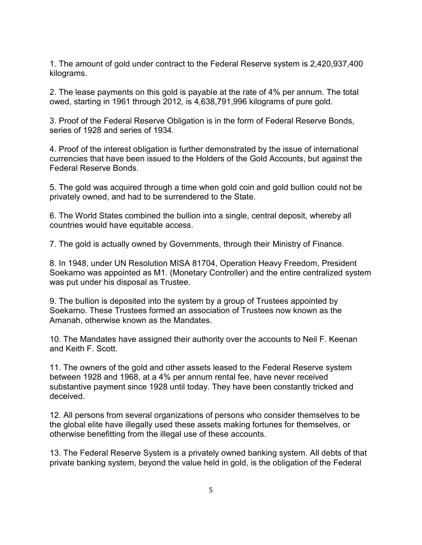1. The amount of gold under contract to the Federal Reserve system is 2,420,937,400 kilograms.

2. The lease payments on this gold is payable at the rate of 4% per annum. The total owed, starting in 1961 through 2012, is 4,638,791,996 kilograms of pure gold.

3. Proof of the Federal Reserve Obligation is in the form of Federal Reserve Bonds, series of 1928 and series of 1934.

4. Proof of the interest obligation is further demonstrated by the issue of international currencies that have been issued to the Holders of the Gold Accounts, but against the Federal Reserve Bonds.

5. The gold was acquired through a time when gold coin and gold bullion could not be privately owned, and had to be surrendered to the State.

6. The World States combined the bullion into a single, central deposit, whereby all countries would have equitable access.

7. The gold is actually owned by Governments, through their Ministry of Finance.

8. In 1948, under UN Resolution MISA 81704, Operation Heavy Freedom, President Soekarno was appointed as M1. (Monetary Controller) and the entire centralized system was put under his disposal as Trustee.

9. The bullion is deposited into the system by a group of Trustees appointed by Soekarno. These Trustees formed an association of Trustees now known as the Amanah, otherwise known as the Mandates.

10. The Mandates have assigned their authority over the accounts to Neil F. Keenan and Keith F. Scott.

11. The owners of the gold and other assets leased to the Federal Reserve system between 1928 and 1968, at a 4% per annum rental fee, have never received substantive payment since 1928 until today. They have been constantly tricked and deceived.

12. All persons from several organizations of persons who consider themselves to be the global elite have illegally used these assets making fortunes for themselves, or otherwise benefitting from the illegal use of these accounts.

13. The Federal Reserve System is a privately owned banking system. All debts of that private banking system, beyond the value held in gold, is the obligation of the Federal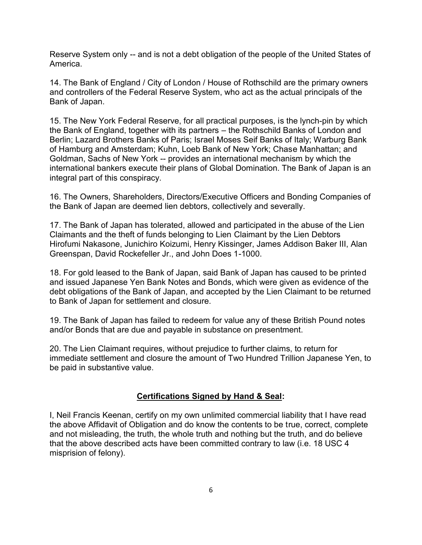Reserve System only -- and is not a debt obligation of the people of the United States of America.

14. The Bank of England / City of London / House of Rothschild are the primary owners and controllers of the Federal Reserve System, who act as the actual principals of the Bank of Japan.

15. The New York Federal Reserve, for all practical purposes, is the lynch-pin by which the Bank of England, together with its partners – the Rothschild Banks of London and Berlin; Lazard Brothers Banks of Paris; Israel Moses Seif Banks of Italy; Warburg Bank of Hamburg and Amsterdam; Kuhn, Loeb Bank of New York; Chase Manhattan; and Goldman, Sachs of New York -- provides an international mechanism by which the international bankers execute their plans of Global Domination. The Bank of Japan is an integral part of this conspiracy.

16. The Owners, Shareholders, Directors/Executive Officers and Bonding Companies of the Bank of Japan are deemed lien debtors, collectively and severally.

17. The Bank of Japan has tolerated, allowed and participated in the abuse of the Lien Claimants and the theft of funds belonging to Lien Claimant by the Lien Debtors Hirofumi Nakasone, Junichiro Koizumi, Henry Kissinger, James Addison Baker III, Alan Greenspan, David Rockefeller Jr., and John Does 1-1000.

18. For gold leased to the Bank of Japan, said Bank of Japan has caused to be printed and issued Japanese Yen Bank Notes and Bonds, which were given as evidence of the debt obligations of the Bank of Japan, and accepted by the Lien Claimant to be returned to Bank of Japan for settlement and closure.

19. The Bank of Japan has failed to redeem for value any of these British Pound notes and/or Bonds that are due and payable in substance on presentment.

20. The Lien Claimant requires, without prejudice to further claims, to return for immediate settlement and closure the amount of Two Hundred Trillion Japanese Yen, to be paid in substantive value.

#### **Certifications Signed by Hand & Seal:**

I, Neil Francis Keenan, certify on my own unlimited commercial liability that I have read the above Affidavit of Obligation and do know the contents to be true, correct, complete and not misleading, the truth, the whole truth and nothing but the truth, and do believe that the above described acts have been committed contrary to law (i.e. 18 USC 4 misprision of felony).